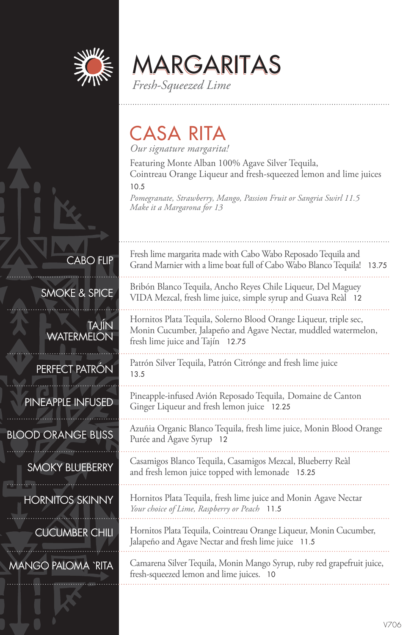

CABO FLIP

TAJÍN

SMOKE & SPICE

**WATERMELON** 

PERFECT PATRÓN

MARGARITAS *Fresh-Squeezed Lime*

## CASA RITA

*Our signature margarita!*

Featuring Monte Alban 100% Agave Silver Tequila, Cointreau Orange Liqueur and fresh-squeezed lemon and lime juices

10.5

*Pomegranate, Strawberry, Mango, Passion Fruit or Sangria Swirl 11.5 Make it a Margarona for 13*

Fresh lime margarita made with Cabo Wabo Reposado Tequila and Grand Marnier with a lime boat full of Cabo Wabo Blanco Tequila! 13.75 Bribón Blanco Tequila, Ancho Reyes Chile Liqueur, Del Maguey VIDA Mezcal, fresh lime juice, simple syrup and Guava Reàl 12 Hornitos Plata Tequila, Solerno Blood Orange Liqueur, triple sec, Monin Cucumber, Jalapeño and Agave Nectar, muddled watermelon, fresh lime juice and Tajín 12.75 Patrón Silver Tequila, Patrón Citrónge and fresh lime juice 13.5 Pineapple-infused Avión Reposado Tequila, Domaine de Canton

Ginger Liqueur and fresh lemon juice 12.25

Azuñia Organic Blanco Tequila, fresh lime juice, Monin Blood Orange Purée and Agave Syrup 12

Casamigos Blanco Tequila, Casamigos Mezcal, Blueberry Reàl and fresh lemon juice topped with lemonade 15.25

Hornitos Plata Tequila, fresh lime juice and Monin Agave Nectar *Your choice of Lime, Raspberry or Peach* 11.5

Hornitos Plata Tequila, Cointreau Orange Liqueur, Monin Cucumber, Jalapeño and Agave Nectar and fresh lime juice 11.5

Camarena Silver Tequila, Monin Mango Syrup, ruby red grapefruit juice, fresh-squeezed lemon and lime juices. 10

PINEAPPLE INFUSED

BLOOD ORANGE BLISS

SMOKY BLUEBERRY

HORNITOS SKINNY

CUCUMBER CHILI

MANGO PALOMA `RITA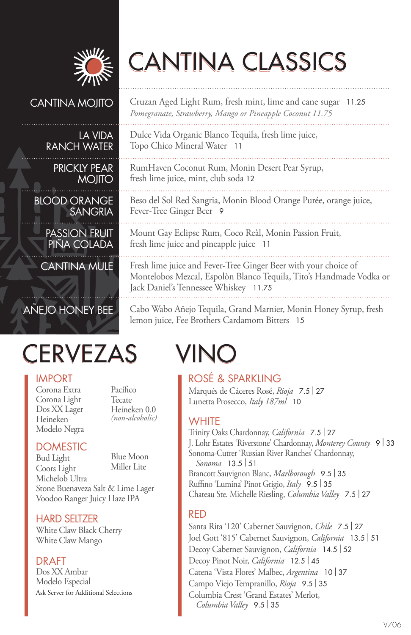

# CANTINA CLASSICS

Dulce Vida Organic Blanco Tequila, fresh lime juice,

RumHaven Coconut Rum, Monin Desert Pear Syrup,

Mount Gay Eclipse Rum, Coco Reàl, Monin Passion Fruit,

Fresh lime juice and Fever-Tree Ginger Beer with your choice of Montelobos Mezcal, Espolòn Blanco Tequila, Tito's Handmade Vodka or

Topo Chico Mineral Water 11

Fever-Tree Ginger Beer 9

fresh lime juice, mint, club soda 12

fresh lime juice and pineapple juice 11

Jack Daniel's Tennessee Whiskey 11.75

Cruzan Aged Light Rum, fresh mint, lime and cane sugar 11.25 *Pomegranate, Strawberry, Mango or Pineapple Coconut 11.75*

Beso del Sol Red Sangria, Monin Blood Orange Purée, orange juice,

#### CANTINA MOJITO

#### LA VIDA RANCH WATER

PRICKLY PEAR MOJITO

BLOOD ORANGE SANGRIA

PASSION FRUIT PINA COLADA

CANTINA MULE

### AÑEJO HONEY BEE

# CERVEZAS VINO

#### IMPORT

Corona Extra Corona Light Dos XX Lager Heineken Modelo Negra Pacífico Tecate Heineken 0.0 *(non-alcoholic)*

### **DOMESTIC**

Bud Light Coors Light Michelob Ultra Blue Moon Miller Lite Stone Buenaveza Salt & Lime Lager Voodoo Ranger Juicy Haze IPA

#### HARD SELTZER

White Claw Black Cherry White Claw Mango

#### DRAFT

Dos XX Ambar Modelo Especial Ask Server for Additional Selections

lemon juice, Fee Brothers Cardamom Bitters 15

ROSÉ & SPARKLING Marqués de Cáceres Rosé, *Rioja* 7.5 | <sup>27</sup> Lunetta Prosecco, *Italy 187ml* 10

Cabo Wabo Añejo Tequila, Grand Marnier, Monin Honey Syrup, fresh

#### **WHITE**

Trinity Oaks Chardonnay, *California* 7.5 | <sup>27</sup> J. Lohr Estates 'Riverstone' Chardonnay, *Monterey County* <sup>9</sup>| <sup>33</sup> Sonoma-Cutrer 'Russian River Ranches' Chardonnay, *Sonoma* 13.5 | <sup>51</sup> Brancott Sauvignon Blanc, *Marlborough* 9.5 | <sup>35</sup> Ruffino 'Lumina' Pinot Grigio, *Italy* 9.5 | <sup>35</sup> Chateau Ste. Michelle Riesling, *Columbia Valley* 7.5 | <sup>27</sup>

#### RED

Santa Rita '120' Cabernet Sauvignon, *Chile* 7.5 | <sup>27</sup> Joel Gott '815' Cabernet Sauvignon, *California* 13.5 | <sup>51</sup> Decoy Cabernet Sauvignon, *California* 14.5 | <sup>52</sup> Decoy Pinot Noir, *California* 12.5 | <sup>45</sup> Catena 'Vista Flores' Malbec, *Argentina* <sup>10</sup>| <sup>37</sup> Campo Viejo Tempranillo, *Rioja* 9.5 | <sup>35</sup> Columbia Crest 'Grand Estates' Merlot, *Columbia Valley* 9.5 | <sup>35</sup>

#### V706